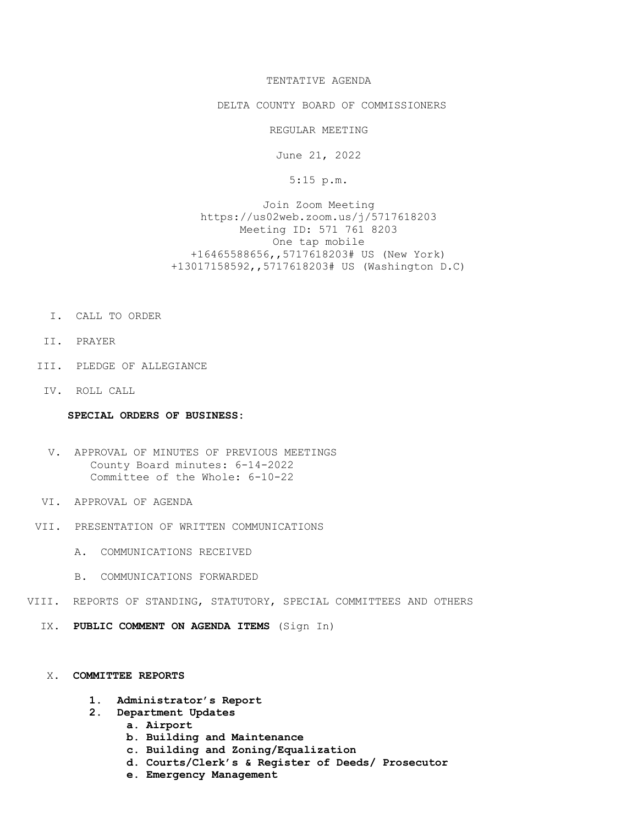# TENTATIVE AGENDA

## DELTA COUNTY BOARD OF COMMISSIONERS

REGULAR MEETING

June 21, 2022

5:15 p.m.

Join Zoom Meeting https://us02web.zoom.us/j/5717618203 Meeting ID: 571 761 8203 One tap mobile +16465588656,,5717618203# US (New York) +13017158592,,5717618203# US (Washington D.C)

- I. CALL TO ORDER
- II. PRAYER
- III. PLEDGE OF ALLEGIANCE
- IV. ROLL CALL

#### SPECIAL ORDERS OF BUSINESS:

- V. APPROVAL OF MINUTES OF PREVIOUS MEETINGS County Board minutes: 6-14-2022 Committee of the Whole: 6-10-22
- VI. APPROVAL OF AGENDA
- VII. PRESENTATION OF WRITTEN COMMUNICATIONS
	- A. COMMUNICATIONS RECEIVED
	- B. COMMUNICATIONS FORWARDED
- VIII. REPORTS OF STANDING, STATUTORY, SPECIAL COMMITTEES AND OTHERS
	- IX. PUBLIC COMMENT ON AGENDA ITEMS (Sign In)

## X. COMMITTEE REPORTS

- 1. Administrator's Report
- 2. Department Updates
	- a. Airport
	- b. Building and Maintenance
	- c. Building and Zoning/Equalization
	- d. Courts/Clerk's & Register of Deeds/ Prosecutor
	- e. Emergency Management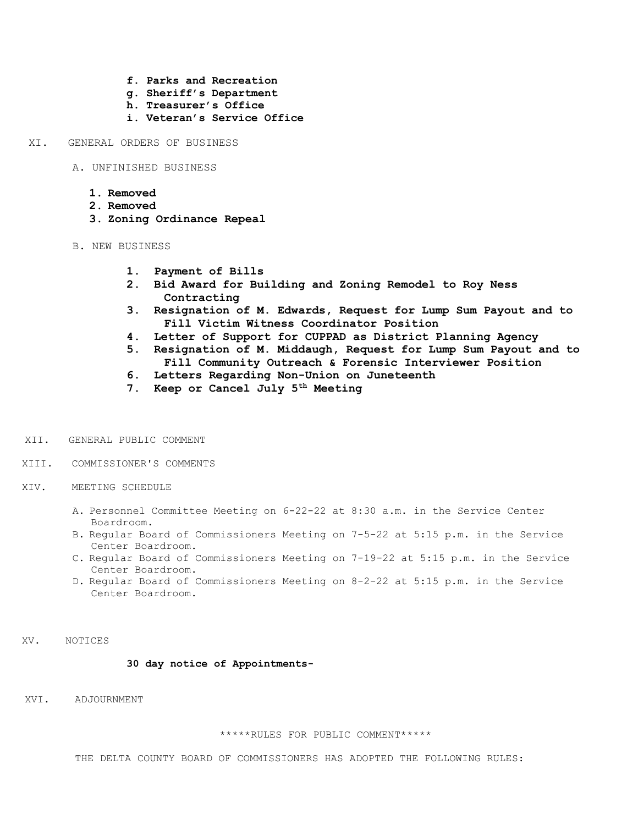- f. Parks and Recreation
- g. Sheriff's Department
- h. Treasurer's Office
- i. Veteran's Service Office

XI. GENERAL ORDERS OF BUSINESS

- A. UNFINISHED BUSINESS
	- 1. Removed
	- 2. Removed
	- 3. Zoning Ordinance Repeal
- B. NEW BUSINESS
	- 1. Payment of Bills
	- 2. Bid Award for Building and Zoning Remodel to Roy Ness Contracting
	- 3. Resignation of M. Edwards, Request for Lump Sum Payout and to Fill Victim Witness Coordinator Position
	- 4. Letter of Support for CUPPAD as District Planning Agency
	- 5. Resignation of M. Middaugh, Request for Lump Sum Payout and to Fill Community Outreach & Forensic Interviewer Position
	- 6. Letters Regarding Non-Union on Juneteenth
	- 7. Keep or Cancel July 5<sup>th</sup> Meeting
- XII. GENERAL PUBLIC COMMENT
- XIII. COMMISSIONER'S COMMENTS
- XIV. MEETING SCHEDULE
	- A. Personnel Committee Meeting on 6-22-22 at 8:30 a.m. in the Service Center Boardroom.
	- B. Regular Board of Commissioners Meeting on 7-5-22 at 5:15 p.m. in the Service Center Boardroom.
	- C. Regular Board of Commissioners Meeting on 7-19-22 at 5:15 p.m. in the Service Center Boardroom.
	- D. Regular Board of Commissioners Meeting on 8-2-22 at 5:15 p.m. in the Service Center Boardroom.
- XV. NOTICES

## 30 day notice of Appointments-

XVI. ADJOURNMENT

\*\*\*\*\*RULES FOR PUBLIC COMMENT\*\*\*\*\*

THE DELTA COUNTY BOARD OF COMMISSIONERS HAS ADOPTED THE FOLLOWING RULES: